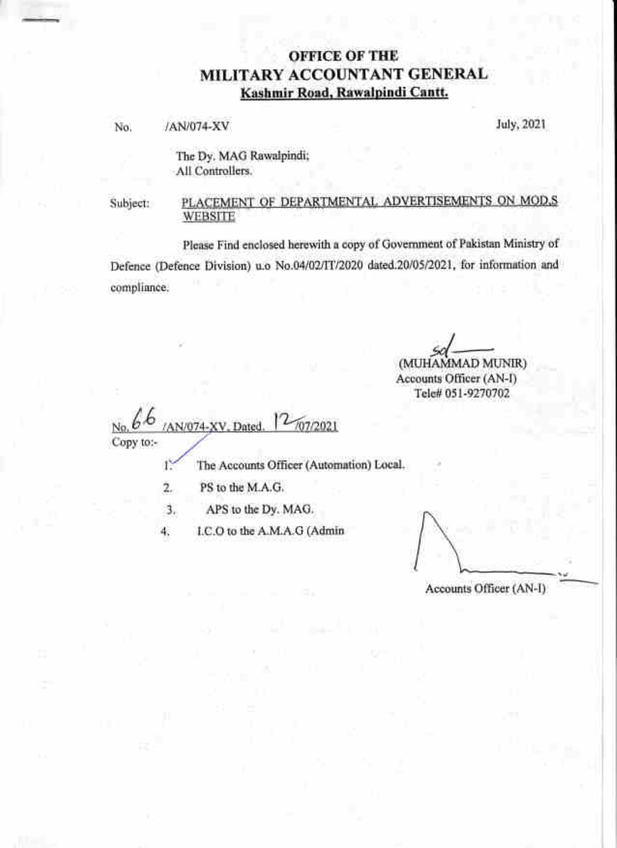## **OFFICE OF THE** MILITARY ACCOUNTANT GENERAL Kashmir Road, Rawalpindi Cantt.

/AN/074-XV No.

July, 2021

The Dy. MAG Rawalpindi; All Controllers.

## PLACEMENT OF DEPARTMENTAL ADVERTISEMENTS ON MOD.S Subject: **WEBSITE**

Please Find enclosed herewith a copy of Government of Pakistan Ministry of Defence (Defence Division) u.o No.04/02/TT/2020 dated.20/05/2021, for information and compliance.

(MUHAMMAD MUNIR)

Accounts Officer (AN-I) Tele# 051-9270702

707/2021 N/074-XV. Dated Copy to:-

The Accounts Officer (Automation) Local, 12

- $2.$ PS to the M.A.G.
- APS to the Dy. MAG. 3.

I.C.O to the A.M.A.G (Admin 4.

Accounts Officer (AN-I)